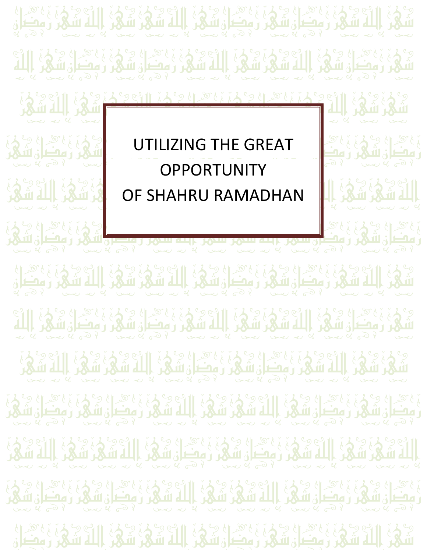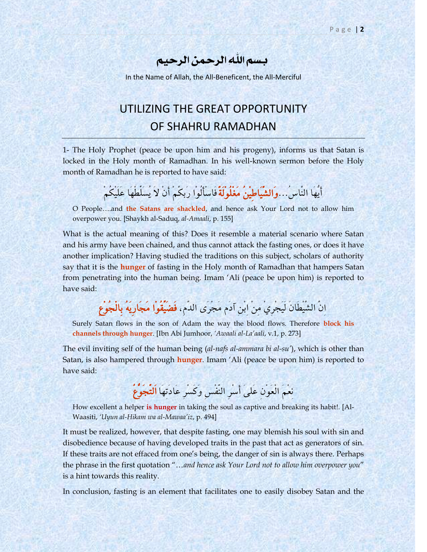بسم اهللِ الرمحن الرحيم

In the Name of Allah, the All-Beneficent, the All-Merciful

## UTILIZING THE GREAT OPPORTUNITY OF SHAHRU RAMADHAN

1- The Holy Prophet (peace be upon him and his progeny), informs us that Satan is locked in the Holy month of Ramadhan. In his well-known sermon before the Holy month of Ramadhan he is reported to have said:

أَيُّهَا النَّاسُ...وَالشَّيَاطِيْنُ مَغْلُولَةٌ فَاسْأَلُوا رَبكُمْ أَنْ لاَ يُسَلِّطْهَا عَلَيْكُمْ

O People….and **the Satans are shackled**, and hence ask Your Lord not to allow him overpower you. [Shaykh al-Saduq, *al-Amaali*, p. 155]

What is the actual meaning of this? Does it resemble a material scenario where Satan and his army have been chained, and thus cannot attack the fasting ones, or does it have another implication? Having studied the traditions on this subject, scholars of authority say that it is the **hunger** of fasting in the Holy month of Ramadhan that hampers Satan from penetrating into the human being. Imam "Ali (peace be upon him) is reported to have said:

انَّ الشَّيْطَانَ لَيَجْرِيْ من ابْن آدَم مَجْرَى الدَّم، **فَضَيِّقُوْا مَجَارِيَهُ بِالْجُوْعِ** 

Surely Satan flows in the son of Adam the way the blood flows. Therefore **block his channels through hunger**. [Ibn Abi Jumhoor, *'Awaali al-La'aali*, v.1, p. 273]

The evil inviting self of the human being (*al-nafs al-ammara bi al-su'*), which is other than Satan, is also hampered through **hunger**. Imam "Ali (peace be upon him) is reported to have said:

نِعْمَ الْعَوْنِ عَلَى أَسْرِ النَّفْسِ وَكَسْرِ عَادَتِهَا اَلتَّجَوْعُ

How excellent a helper **is hunger** in taking the soul as captive and breaking its habit!. [Al-Waasiti, *'Uyun al-Hikam wa al-Mawaa'iz*, p. 494]

It must be realized, however, that despite fasting, one may blemish his soul with sin and disobedience because of having developed traits in the past that act as generators of sin. If these traits are not effaced from one's being, the danger of sin is always there. Perhaps the phrase in the first quotation "…*and hence ask Your Lord not to allow him overpower you*" is a hint towards this reality.

In conclusion, fasting is an element that facilitates one to easily disobey Satan and the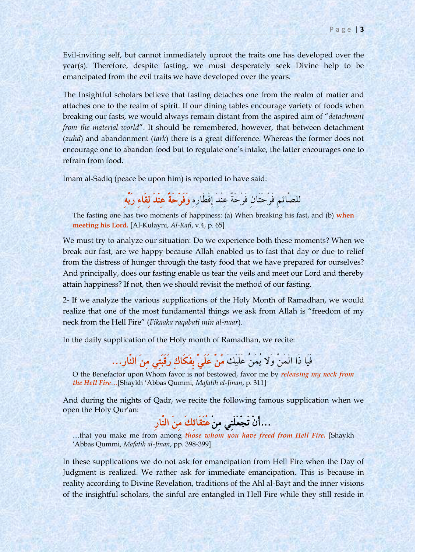Evil-inviting self, but cannot immediately uproot the traits one has developed over the year(s). Therefore, despite fasting, we must desperately seek Divine help to be emancipated from the evil traits we have developed over the years.

The Insightful scholars believe that fasting detaches one from the realm of matter and attaches one to the realm of spirit. If our dining tables encourage variety of foods when breaking our fasts, we would always remain distant from the aspired aim of "*detachment from the material world*". It should be remembered, however, that between detachment (*zuhd*) and abandonment (*tark*) there is a great difference. Whereas the former does not encourage one to abandon food but to regulate one"s intake, the latter encourages one to refrain from food.

Imam al-Sadiq (peace be upon him) is reported to have said:

لِلصَّائِمِ فَرْحَتَانِ فَرْحَةٌ عِنْدَ إِفْطَارِهِ وَفَرْحَةٌ عِنْدَ لِقَاءِ رَبِّهِ

The fasting one has two moments of happiness: (a) When breaking his fast, and (b) **when meeting his Lord.** [Al-Kulayni, *Al-Kafi*, v.4, p. 65]

We must try to analyze our situation: Do we experience both these moments? When we break our fast, are we happy because Allah enabled us to fast that day or due to relief from the distress of hunger through the tasty food that we have prepared for ourselves? And principally, does our fasting enable us tear the veils and meet our Lord and thereby attain happiness? If not, then we should revisit the method of our fasting.

2- If we analyze the various supplications of the Holy Month of Ramadhan, we would realize that one of the most fundamental things we ask from Allah is "freedom of my neck from the Hell Fire" (*Fikaaka raqabati min al-naar*).

In the daily supplication of the Holy month of Ramadhan, we recite:

## فَيَا ذَا الْمَنِّ وَلا يُمَنُّ عَلَيْكَ مُنْ عَلَيٍّ بِفَكَاكِ رَقَبَتِي مِنَ النَّار...

O the Benefactor upon Whom favor is not bestowed, favor me by *releasing my neck from the Hell Fire*…[Shaykh "Abbas Qummi, *Mafatih al-Jinan*, p. 311]

And during the nights of Qadr, we recite the following famous supplication when we open the Holy Qur'an:

...أَىِ تَجِعَوَهٌِ مِوِ عُتَقَائِمَ مِوَ اههَّازِ

…that you make me from among *those whom you have freed from Hell Fire.* [Shaykh "Abbas Qummi, *Mafatih al-Jinan*, pp. 398-399]

In these supplications we do not ask for emancipation from Hell Fire when the Day of Judgment is realized. We rather ask for immediate emancipation. This is because in reality according to Divine Revelation, traditions of the Ahl al-Bayt and the inner visions of the insightful scholars, the sinful are entangled in Hell Fire while they still reside in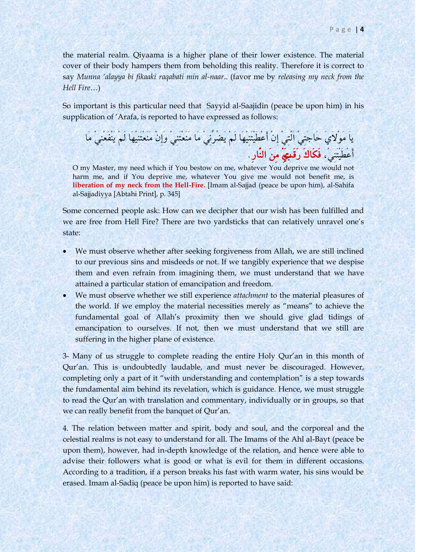the material realm. Qiyaama is a higher plane of their lower existence. The material cover of their body hampers them from beholding this reality. Therefore it is correct to say *Munna 'alayya bi fikaaki raqabati min al-naar*.. (favor me by *releasing my neck from the Hell Fire*…)

So important is this particular need that Sayyid al-Saajidin (peace be upon him) in his supplication of 'Arafa, is reported to have expressed as follows:

يَا مَوْلاَيَ حَاجَتِيْ اَلَّتِي إِنْ أَعْطَيْتَنِيهَا لَمْ يَضُرِّنِي مَا مَنْعَتَنِي وَإِنْ مَنْعَتَنِيهَا لَمْ يَنْفَعْنِي مَا أَعْطَيْتَنِيْ، فَكَاكَ رَقَبِتِيْ مِنَ النَّارِ.

O my Master, my need which if You bestow on me, whatever You deprive me would not harm me, and if You deprive me, whatever You give me would not benefit me, is **liberation of my neck from the Hell-Fire.** [Imam al-Sajjad (peace be upon him), al-Sahifa al-Sajjadiyya [Abtahi Print], p. 345]

Some concerned people ask: How can we decipher that our wish has been fulfilled and we are free from Hell Fire? There are two yardsticks that can relatively unravel one"s state:

- We must observe whether after seeking forgiveness from Allah, we are still inclined to our previous sins and misdeeds or not. If we tangibly experience that we despise them and even refrain from imagining them, we must understand that we have attained a particular station of emancipation and freedom.
- We must observe whether we still experience *attachment* to the material pleasures of the world. If we employ the material necessities merely as "means" to achieve the fundamental goal of Allah"s proximity then we should give glad tidings of emancipation to ourselves. If not, then we must understand that we still are suffering in the higher plane of existence.

3- Many of us struggle to complete reading the entire Holy Qur"an in this month of Qur"an. This is undoubtedly laudable, and must never be discouraged. However, completing only a part of it "with understanding and contemplation" is a step towards the fundamental aim behind its revelation, which is guidance. Hence, we must struggle to read the Qur"an with translation and commentary, individually or in groups, so that we can really benefit from the banquet of Qur'an.

4. The relation between matter and spirit, body and soul, and the corporeal and the celestial realms is not easy to understand for all. The Imams of the Ahl al-Bayt (peace be upon them), however, had in-depth knowledge of the relation, and hence were able to advise their followers what is good or what is evil for them in different occasions. According to a tradition, if a person breaks his fast with warm water, his sins would be erased. Imam al-Sadiq (peace be upon him) is reported to have said: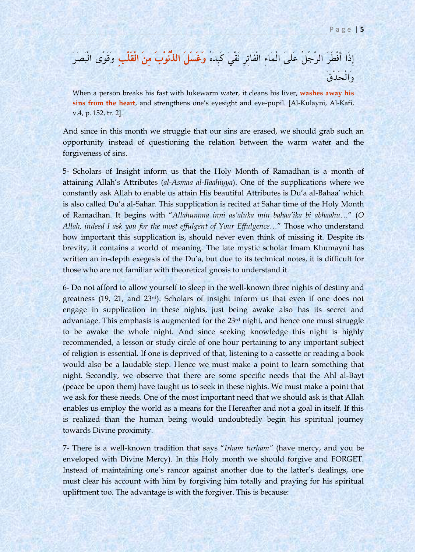إِذَا أَفْطَرَ الرَّجُلُ عَلىَ الْمَاءِ الْفَاتِرِ نَقًىَ كَبِدَهُ **وَغَسَلَ الذُّنُوْبَ مِنَ الْقَلْبِ** وَقَوَّى الْبَصَرَ وَاهِحَدِقَ

When a person breaks his fast with lukewarm water, it cleans his liver, **washes away his sins from the heart**, and strengthens one"s eyesight and eye-pupil. [Al-Kulayni, Al-Kafi, v.4, p. 152, tr. 2].

And since in this month we struggle that our sins are erased, we should grab such an opportunity instead of questioning the relation between the warm water and the forgiveness of sins.

5- Scholars of Insight inform us that the Holy Month of Ramadhan is a month of attaining Allah"s Attributes (*al-Asmaa al-Ilaahiyya*). One of the supplications where we constantly ask Allah to enable us attain His beautiful Attributes is Du"a al-Bahaa" which is also called Du"a al-Sahar. This supplication is recited at Sahar time of the Holy Month of Ramadhan. It begins with "*Allahumma inni as'aluka min bahaa'ika bi abhaahu…*" (*O Allah, indeed I ask you for the most effulgent of Your Effulgence…*" Those who understand how important this supplication is, should never even think of missing it. Despite its brevity, it contains a world of meaning. The late mystic scholar Imam Khumayni has written an in-depth exegesis of the Du'a, but due to its technical notes, it is difficult for those who are not familiar with theoretical gnosis to understand it.

6- Do not afford to allow yourself to sleep in the well-known three nights of destiny and greatness (19, 21, and 23rd). Scholars of insight inform us that even if one does not engage in supplication in these nights, just being awake also has its secret and advantage. This emphasis is augmented for the 23rd night, and hence one must struggle to be awake the whole night. And since seeking knowledge this night is highly recommended, a lesson or study circle of one hour pertaining to any important subject of religion is essential. If one is deprived of that, listening to a cassette or reading a book would also be a laudable step. Hence we must make a point to learn something that night. Secondly, we observe that there are some specific needs that the Ahl al-Bayt (peace be upon them) have taught us to seek in these nights. We must make a point that we ask for these needs. One of the most important need that we should ask is that Allah enables us employ the world as a means for the Hereafter and not a goal in itself. If this is realized than the human being would undoubtedly begin his spiritual journey towards Divine proximity.

7- There is a well-known tradition that says "*Irham turham"* (have mercy, and you be enveloped with Divine Mercy). In this Holy month we should forgive and FORGET. Instead of maintaining one"s rancor against another due to the latter"s dealings, one must clear his account with him by forgiving him totally and praying for his spiritual upliftment too. The advantage is with the forgiver. This is because: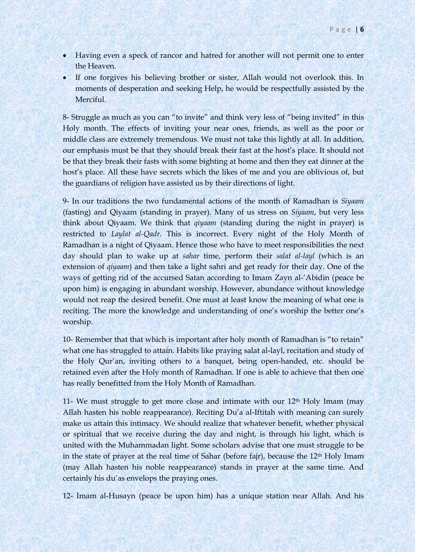- Having even a speck of rancor and hatred for another will not permit one to enter the Heaven.
- If one forgives his believing brother or sister, Allah would not overlook this. In moments of desperation and seeking Help, he would be respectfully assisted by the Merciful.

8- Struggle as much as you can "to invite" and think very less of "being invited" in this Holy month. The effects of inviting your near ones, friends, as well as the poor or middle class are extremely tremendous. We must not take this lightly at all. In addition, our emphasis must be that they should break their fast at the host's place. It should not be that they break their fasts with some bighting at home and then they eat dinner at the host"s place. All these have secrets which the likes of me and you are oblivious of, but the guardians of religion have assisted us by their directions of light.

9- In our traditions the two fundamental actions of the month of Ramadhan is *Siyaam* (fasting) and Qiyaam (standing in prayer). Many of us stress on *Siyaam*, but very less think about Qiyaam. We think that *qiyaam* (standing during the night in prayer) is restricted to *Laylat al-Qadr*. This is incorrect. Every night of the Holy Month of Ramadhan is a night of Qiyaam. Hence those who have to meet responsibilities the next day should plan to wake up at *sahar* time, perform their *salat al-layl* (which is an extension of *qiyaam*) and then take a light sahri and get ready for their day. One of the ways of getting rid of the accursed Satan according to Imam Zayn al-"Abidin (peace be upon him) is engaging in abundant worship. However, abundance without knowledge would not reap the desired benefit. One must at least know the meaning of what one is reciting. The more the knowledge and understanding of one"s worship the better one"s worship.

10- Remember that that which is important after holy month of Ramadhan is "to retain" what one has struggled to attain. Habits like praying salat al-layl, recitation and study of the Holy Qur"an, inviting others to a banquet, being open-handed, etc. should be retained even after the Holy month of Ramadhan. If one is able to achieve that then one has really benefitted from the Holy Month of Ramadhan.

11- We must struggle to get more close and intimate with our  $12<sup>th</sup>$  Holy Imam (may Allah hasten his noble reappearance). Reciting Du"a al-Iftitah with meaning can surely make us attain this intimacy. We should realize that whatever benefit, whether physical or spiritual that we receive during the day and night, is through his light, which is united with the Muhammadan light. Some scholars advise that one must struggle to be in the state of prayer at the real time of Sahar (before fajr), because the 12<sup>th</sup> Holy Imam (may Allah hasten his noble reappearance) stands in prayer at the same time. And certainly his du"as envelops the praying ones.

12- Imam al-Husayn (peace be upon him) has a unique station near Allah. And his